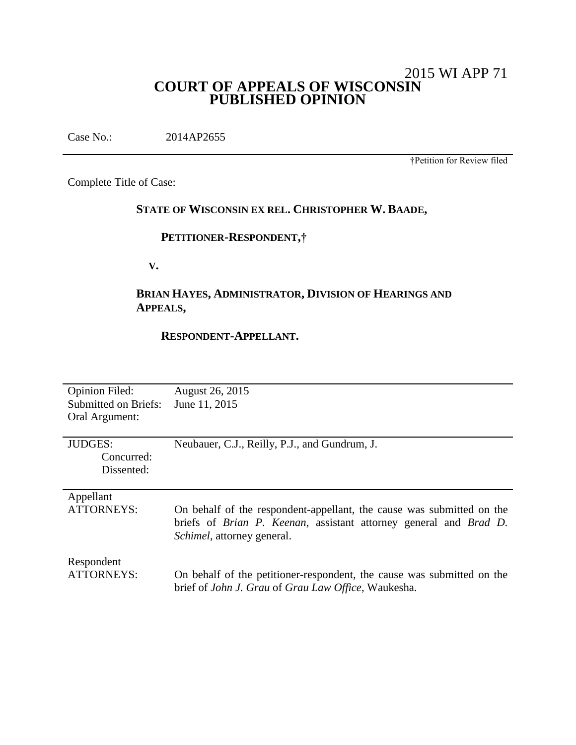# 2015 WI APP 71 **COURT OF APPEALS OF WISCONSIN PUBLISHED OPINION**

Case No.: 2014AP2655

†Petition for Review filed

Complete Title of Case:

# **STATE OF WISCONSIN EX REL. CHRISTOPHER W. BAADE,**

## **PETITIONER-RESPONDENT,†**

 **V.**

# **BRIAN HAYES, ADMINISTRATOR, DIVISION OF HEARINGS AND APPEALS,**

## **RESPONDENT-APPELLANT.**

| <b>Opinion Filed:</b><br>Submitted on Briefs:<br>Oral Argument: | August 26, 2015<br>June 11, 2015                                                                                                                                                 |
|-----------------------------------------------------------------|----------------------------------------------------------------------------------------------------------------------------------------------------------------------------------|
| <b>JUDGES:</b><br>Concurred:<br>Dissented:                      | Neubauer, C.J., Reilly, P.J., and Gundrum, J.                                                                                                                                    |
| Appellant<br>ATTORNEYS:                                         | On behalf of the respondent-appellant, the cause was submitted on the<br>briefs of Brian P. Keenan, assistant attorney general and Brad D.<br><i>Schimel</i> , attorney general. |
| Respondent<br>ATTORNEYS:                                        | On behalf of the petitioner-respondent, the cause was submitted on the<br>brief of John J. Grau of Grau Law Office, Waukesha.                                                    |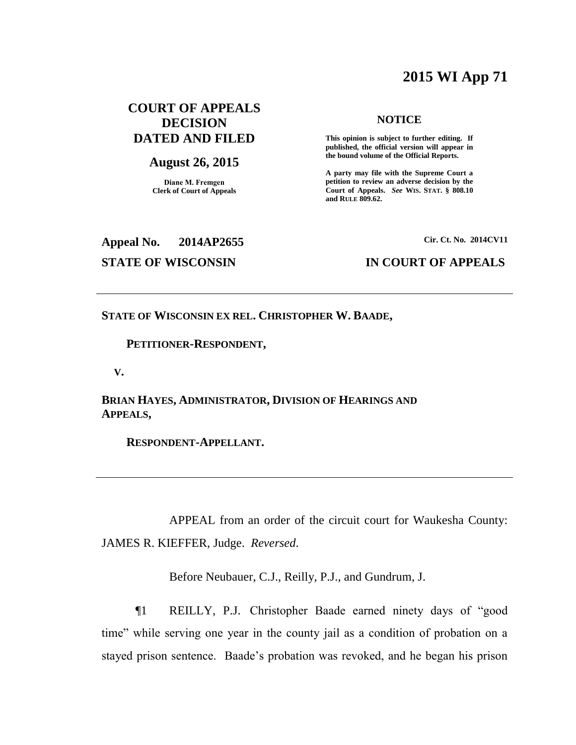# **2015 WI App 71**

## **COURT OF APPEALS DECISION DATED AND FILED**

## **August 26, 2015**

**Diane M. Fremgen Clerk of Court of Appeals**

## **NOTICE**

**This opinion is subject to further editing. If published, the official version will appear in the bound volume of the Official Reports.** 

**A party may file with the Supreme Court a petition to review an adverse decision by the Court of Appeals.** *See* **WIS. STAT. § 808.10 and RULE 809.62.** 

# **Appeal No. 2014AP2655 Cir. Ct. No. 2014CV11**

## **STATE OF WISCONSIN IN COURT OF APPEALS**

**STATE OF WISCONSIN EX REL. CHRISTOPHER W. BAADE,**

## **PETITIONER-RESPONDENT,**

 **V.**

**BRIAN HAYES, ADMINISTRATOR, DIVISION OF HEARINGS AND APPEALS,**

 **RESPONDENT-APPELLANT.**

APPEAL from an order of the circuit court for Waukesha County: JAMES R. KIEFFER, Judge. *Reversed*.

Before Neubauer, C.J., Reilly, P.J., and Gundrum, J.

¶1 REILLY, P.J. Christopher Baade earned ninety days of "good time" while serving one year in the county jail as a condition of probation on a stayed prison sentence. Baade's probation was revoked, and he began his prison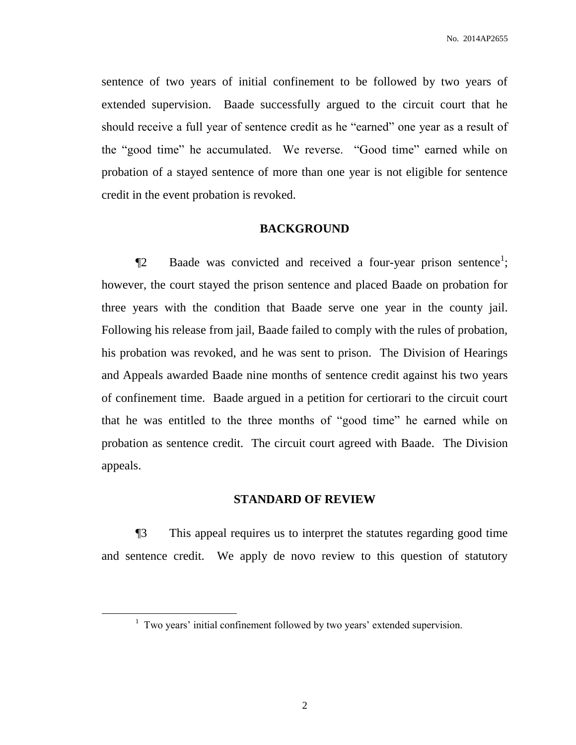sentence of two years of initial confinement to be followed by two years of extended supervision. Baade successfully argued to the circuit court that he should receive a full year of sentence credit as he "earned" one year as a result of the "good time" he accumulated. We reverse. "Good time" earned while on probation of a stayed sentence of more than one year is not eligible for sentence credit in the event probation is revoked.

## **BACKGROUND**

 $\P$ 2 Baade was convicted and received a four-year prison sentence<sup>1</sup>; however, the court stayed the prison sentence and placed Baade on probation for three years with the condition that Baade serve one year in the county jail. Following his release from jail, Baade failed to comply with the rules of probation, his probation was revoked, and he was sent to prison. The Division of Hearings and Appeals awarded Baade nine months of sentence credit against his two years of confinement time. Baade argued in a petition for certiorari to the circuit court that he was entitled to the three months of "good time" he earned while on probation as sentence credit. The circuit court agreed with Baade. The Division appeals.

### **STANDARD OF REVIEW**

¶3 This appeal requires us to interpret the statutes regarding good time and sentence credit. We apply de novo review to this question of statutory

 $\overline{a}$ 

2

<sup>&</sup>lt;sup>1</sup> Two years' initial confinement followed by two years' extended supervision.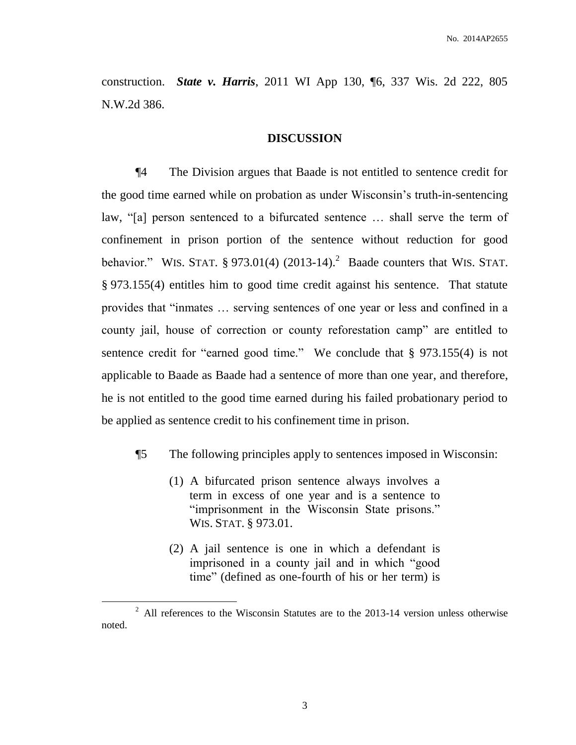construction. *State v. Harris*, 2011 WI App 130, ¶6, 337 Wis. 2d 222, 805 N.W.2d 386.

## **DISCUSSION**

¶4 The Division argues that Baade is not entitled to sentence credit for the good time earned while on probation as under Wisconsin's truth-in-sentencing law, "[a] person sentenced to a bifurcated sentence … shall serve the term of confinement in prison portion of the sentence without reduction for good behavior." WIS. STAT.  $\S 973.01(4)$  (2013-14).<sup>2</sup> Baade counters that WIS. STAT. § 973.155(4) entitles him to good time credit against his sentence. That statute provides that "inmates … serving sentences of one year or less and confined in a county jail, house of correction or county reforestation camp" are entitled to sentence credit for "earned good time." We conclude that § 973.155(4) is not applicable to Baade as Baade had a sentence of more than one year, and therefore, he is not entitled to the good time earned during his failed probationary period to be applied as sentence credit to his confinement time in prison.

- ¶5 The following principles apply to sentences imposed in Wisconsin:
	- (1) A bifurcated prison sentence always involves a term in excess of one year and is a sentence to "imprisonment in the Wisconsin State prisons." WIS. STAT. § 973.01.
	- (2) A jail sentence is one in which a defendant is imprisoned in a county jail and in which "good time" (defined as one-fourth of his or her term) is

 $\overline{a}$ 

 $2$  All references to the Wisconsin Statutes are to the 2013-14 version unless otherwise noted.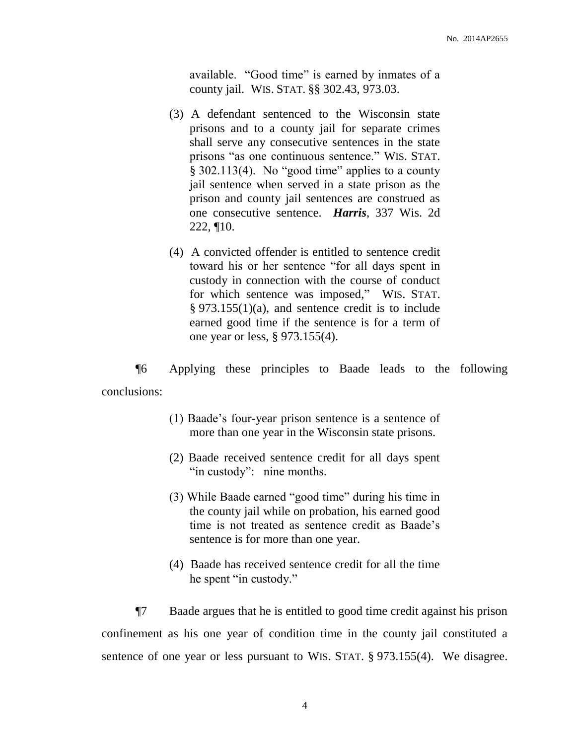available. "Good time" is earned by inmates of a county jail. WIS. STAT. §§ 302.43, 973.03.

- (3) A defendant sentenced to the Wisconsin state prisons and to a county jail for separate crimes shall serve any consecutive sentences in the state prisons "as one continuous sentence." WIS. STAT. § 302.113(4). No "good time" applies to a county jail sentence when served in a state prison as the prison and county jail sentences are construed as one consecutive sentence. *Harris*, 337 Wis. 2d 222, ¶10.
- (4) A convicted offender is entitled to sentence credit toward his or her sentence "for all days spent in custody in connection with the course of conduct for which sentence was imposed," WIS. STAT. § 973.155(1)(a), and sentence credit is to include earned good time if the sentence is for a term of one year or less, § 973.155(4).

¶6 Applying these principles to Baade leads to the following conclusions:

- (1) Baade's four-year prison sentence is a sentence of more than one year in the Wisconsin state prisons.
- (2) Baade received sentence credit for all days spent "in custody": nine months.
- (3) While Baade earned "good time" during his time in the county jail while on probation, his earned good time is not treated as sentence credit as Baade's sentence is for more than one year.
- (4) Baade has received sentence credit for all the time he spent "in custody."

¶7 Baade argues that he is entitled to good time credit against his prison confinement as his one year of condition time in the county jail constituted a sentence of one year or less pursuant to WIS. STAT. § 973.155(4). We disagree.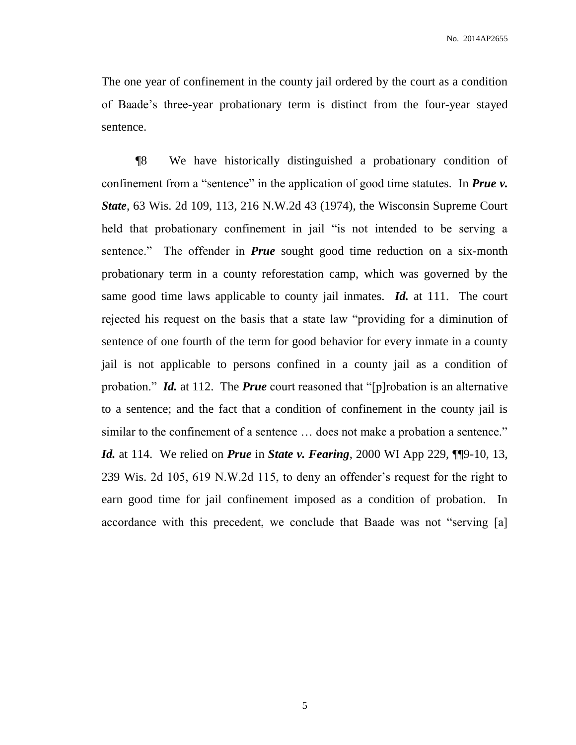The one year of confinement in the county jail ordered by the court as a condition of Baade's three-year probationary term is distinct from the four-year stayed sentence.

¶8 We have historically distinguished a probationary condition of confinement from a "sentence" in the application of good time statutes. In *Prue v. State*, 63 Wis. 2d 109, 113, 216 N.W.2d 43 (1974), the Wisconsin Supreme Court held that probationary confinement in jail "is not intended to be serving a sentence." The offender in *Prue* sought good time reduction on a six-month probationary term in a county reforestation camp, which was governed by the same good time laws applicable to county jail inmates. *Id.* at 111. The court rejected his request on the basis that a state law "providing for a diminution of sentence of one fourth of the term for good behavior for every inmate in a county jail is not applicable to persons confined in a county jail as a condition of probation." *Id.* at 112. The *Prue* court reasoned that "[p]robation is an alternative to a sentence; and the fact that a condition of confinement in the county jail is similar to the confinement of a sentence … does not make a probation a sentence." *Id.* at 114. We relied on *Prue* in *State v. Fearing*, 2000 WI App 229, ¶¶9-10, 13, 239 Wis. 2d 105, 619 N.W.2d 115, to deny an offender's request for the right to earn good time for jail confinement imposed as a condition of probation. In accordance with this precedent, we conclude that Baade was not "serving [a]

5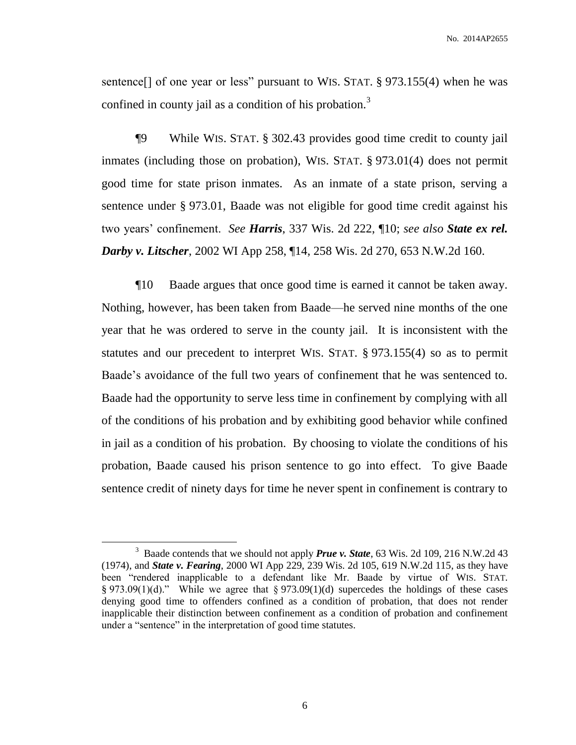sentence<sup>[]</sup> of one year or less" pursuant to WIS. STAT. § 973.155(4) when he was confined in county jail as a condition of his probation.<sup>3</sup>

¶9 While WIS. STAT. § 302.43 provides good time credit to county jail inmates (including those on probation), WIS. STAT. § 973.01(4) does not permit good time for state prison inmates. As an inmate of a state prison, serving a sentence under § 973.01, Baade was not eligible for good time credit against his two years' confinement. *See Harris*, 337 Wis. 2d 222, ¶10; *see also State ex rel. Darby v. Litscher*, 2002 WI App 258, ¶14, 258 Wis. 2d 270, 653 N.W.2d 160.

¶10 Baade argues that once good time is earned it cannot be taken away. Nothing, however, has been taken from Baade—he served nine months of the one year that he was ordered to serve in the county jail. It is inconsistent with the statutes and our precedent to interpret WIS. STAT. § 973.155(4) so as to permit Baade's avoidance of the full two years of confinement that he was sentenced to. Baade had the opportunity to serve less time in confinement by complying with all of the conditions of his probation and by exhibiting good behavior while confined in jail as a condition of his probation. By choosing to violate the conditions of his probation, Baade caused his prison sentence to go into effect. To give Baade sentence credit of ninety days for time he never spent in confinement is contrary to

 $\overline{a}$ 

<sup>&</sup>lt;sup>3</sup> Baade contends that we should not apply **Prue v. State**, 63 Wis. 2d 109, 216 N.W.2d 43 (1974), and *State v. Fearing*, 2000 WI App 229, 239 Wis. 2d 105, 619 N.W.2d 115, as they have been "rendered inapplicable to a defendant like Mr. Baade by virtue of WIS. STAT. § 973.09(1)(d)." While we agree that § 973.09(1)(d) supercedes the holdings of these cases denying good time to offenders confined as a condition of probation, that does not render inapplicable their distinction between confinement as a condition of probation and confinement under a "sentence" in the interpretation of good time statutes.